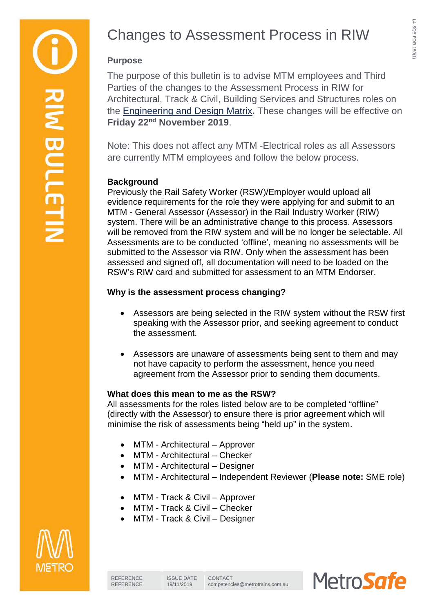L4-SQE-FOR-159(1)

L4-SQE-FOR-159(1)

**Purpose** 

The purpose of this bulletin is to advise MTM employees and Third Parties of the changes to the Assessment Process in RIW for Architectural, Track & Civil, Building Services and Structures roles on the [Engineering and Design Matrix](https://documentportal.metrotrains.com.au/safetydocs/RIWDocs/Engineering-Design-Matrix-1-November-2017.pdf)**.** These changes will be effective on **Friday 22nd November 2019**.

Note: This does not affect any MTM -Electrical roles as all Assessors are currently MTM employees and follow the below process.

# **Background**

Previously the Rail Safety Worker (RSW)/Employer would upload all evidence requirements for the role they were applying for and submit to an MTM - General Assessor (Assessor) in the Rail Industry Worker (RIW) system. There will be an administrative change to this process. Assessors will be removed from the RIW system and will be no longer be selectable. All Assessments are to be conducted 'offline', meaning no assessments will be submitted to the Assessor via RIW. Only when the assessment has been assessed and signed off, all documentation will need to be loaded on the RSW's RIW card and submitted for assessment to an MTM Endorser.

# **Why is the assessment process changing?**

- Assessors are being selected in the RIW system without the RSW first speaking with the Assessor prior, and seeking agreement to conduct the assessment.
- Assessors are unaware of assessments being sent to them and may not have capacity to perform the assessment, hence you need agreement from the Assessor prior to sending them documents.

# **What does this mean to me as the RSW?**

All assessments for the roles listed below are to be completed "offline" (directly with the Assessor) to ensure there is prior agreement which will minimise the risk of assessments being "held up" in the system.

- MTM Architectural Approver
- MTM Architectural Checker
- MTM Architectural Designer
- MTM Architectural Independent Reviewer (**Please note:** SME role)
- MTM Track & Civil Approver
- MTM Track & Civil Checker
- MTM Track & Civil Designer



RIM BULLETII

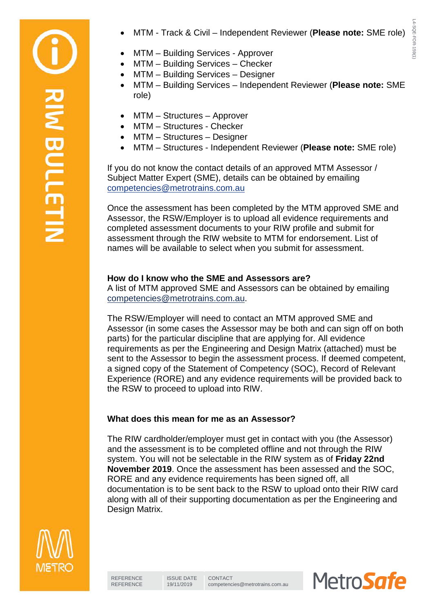

• MTM - Track & Civil – Independent Reviewer (**Please note:** SME role)

- MTM Building Services Checker
- MTM Building Services Designer
- MTM Building Services Independent Reviewer (**Please note:** SME role)
- MTM Structures Approver
- MTM Structures Checker
- MTM Structures Designer
- MTM Structures Independent Reviewer (**Please note:** SME role)

If you do not know the contact details of an approved MTM Assessor / Subject Matter Expert (SME), details can be obtained by emailing [competencies@metrotrains.com.au](mailto:competencies@metrotrains.com.au)

Once the assessment has been completed by the MTM approved SME and Assessor, the RSW/Employer is to upload all evidence requirements and completed assessment documents to your RIW profile and submit for assessment through the RIW website to MTM for endorsement. List of names will be available to select when you submit for assessment.

## **How do I know who the SME and Assessors are?**

A list of MTM approved SME and Assessors can be obtained by emailing [competencies@metrotrains.com.au.](mailto:competencies@metrotrains.com.au)

The RSW/Employer will need to contact an MTM approved SME and Assessor (in some cases the Assessor may be both and can sign off on both parts) for the particular discipline that are applying for. All evidence requirements as per the Engineering and Design Matrix (attached) must be sent to the Assessor to begin the assessment process. If deemed competent, a signed copy of the Statement of Competency (SOC), Record of Relevant Experience (RORE) and any evidence requirements will be provided back to the RSW to proceed to upload into RIW.

# **What does this mean for me as an Assessor?**

The RIW cardholder/employer must get in contact with you (the Assessor) and the assessment is to be completed offline and not through the RIW system. You will not be selectable in the RIW system as of **Friday 22nd November 2019**. Once the assessment has been assessed and the SOC, RORE and any evidence requirements has been signed off, all documentation is to be sent back to the RSW to upload onto their RIW card along with all of their supporting documentation as per the Engineering and Design Matrix.



RIM BULLETI

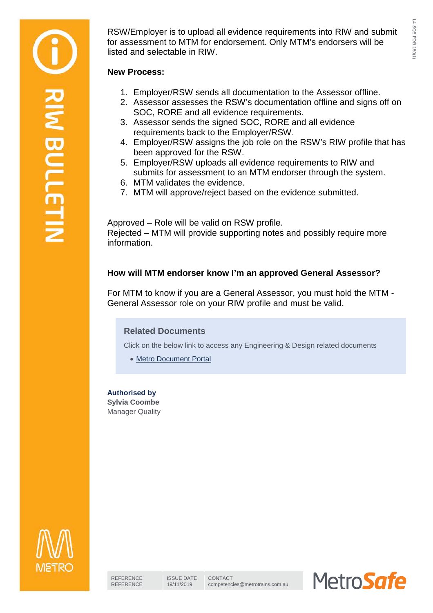RSW/Employer is to upload all evidence requirements into RIW and submit for assessment to MTM for endorsement. Only MTM's endorsers will be listed and selectable in RIW.

### **New Process:**

- 1. Employer/RSW sends all documentation to the Assessor offline.
- 2. Assessor assesses the RSW's documentation offline and signs off on SOC, RORE and all evidence requirements.
- 3. Assessor sends the signed SOC, RORE and all evidence requirements back to the Employer/RSW.
- 4. Employer/RSW assigns the job role on the RSW's RIW profile that has been approved for the RSW.
- 5. Employer/RSW uploads all evidence requirements to RIW and submits for assessment to an MTM endorser through the system.
- 6. MTM validates the evidence.
- 7. MTM will approve/reject based on the evidence submitted.

Approved – Role will be valid on RSW profile. Rejected – MTM will provide supporting notes and possibly require more information.

## **How will MTM endorser know I'm an approved General Assessor?**

For MTM to know if you are a General Assessor, you must hold the MTM - General Assessor role on your RIW profile and must be valid.

## **Related Documents**

Click on the below link to access any Engineering & Design related documents

• [Metro Document Portal](https://documentportal.metrotrains.com.au/safetydocs/Pages/default.aspx)

### **Authorised by**

**Sylvia Coombe** Manager Quality